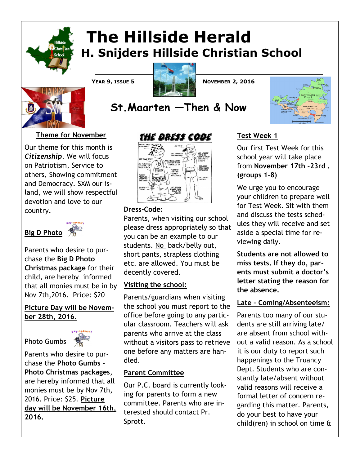

# **The Hillside Herald H. Snijders Hillside Christian School**



**YEAR 9, ISSUE 5 NOVEMBER 2, 2016** 



**St.Maarten —Then & Now**

**Theme for November**

Our theme for this month is *Citizenship*. We will focus on Patriotism, Service to others, Showing commitment and Democracy. SXM our island, we will show respectful devotion and love to our country.



Parents who desire to purchase the **Big D Photo Christmas package** for their child, are hereby informed that all monies must be in by Nov 7th,2016. Price: \$20

## **Picture Day will be November 28th, 2016.**



Parents who desire to purchase the **Photo Gumbs - Photo Christmas packages**, are hereby informed that all monies must be by Nov 7th, 2016. Price: \$25. **Picture day will be November 16th, 2016.** 



### **Dress-Code:**

Parents, when visiting our school please dress appropriately so that you can be an example to our students. No back/belly out, short pants, strapless clothing etc. are allowed. You must be decently covered.

## **Visiting the school:**

Parents/guardians when visiting the school you must report to the office before going to any particular classroom. Teachers will ask parents who arrive at the class without a visitors pass to retrieve one before any matters are handled.

## **Parent Committee**

Our P.C. board is currently looking for parents to form a new committee. Parents who are interested should contact Pr. Sprott.

# **Test Week 1**

Our first Test Week for this school year will take place from **November 17th -23rd . (groups 1-8)**

We urge you to encourage your children to prepare well for Test Week. Sit with them and discuss the tests schedules they will receive and set aside a special time for reviewing daily.

**Students are not allowed to miss tests. If they do, parents must submit a doctor's letter stating the reason for the absence.**

## **Late – Coming/Absenteeism:**

Parents too many of our students are still arriving late/ are absent from school without a valid reason. As a school it is our duty to report such happenings to the Truancy Dept. Students who are constantly late/absent without valid reasons will receive a formal letter of concern regarding this matter. Parents, do your best to have your child(ren) in school on time &